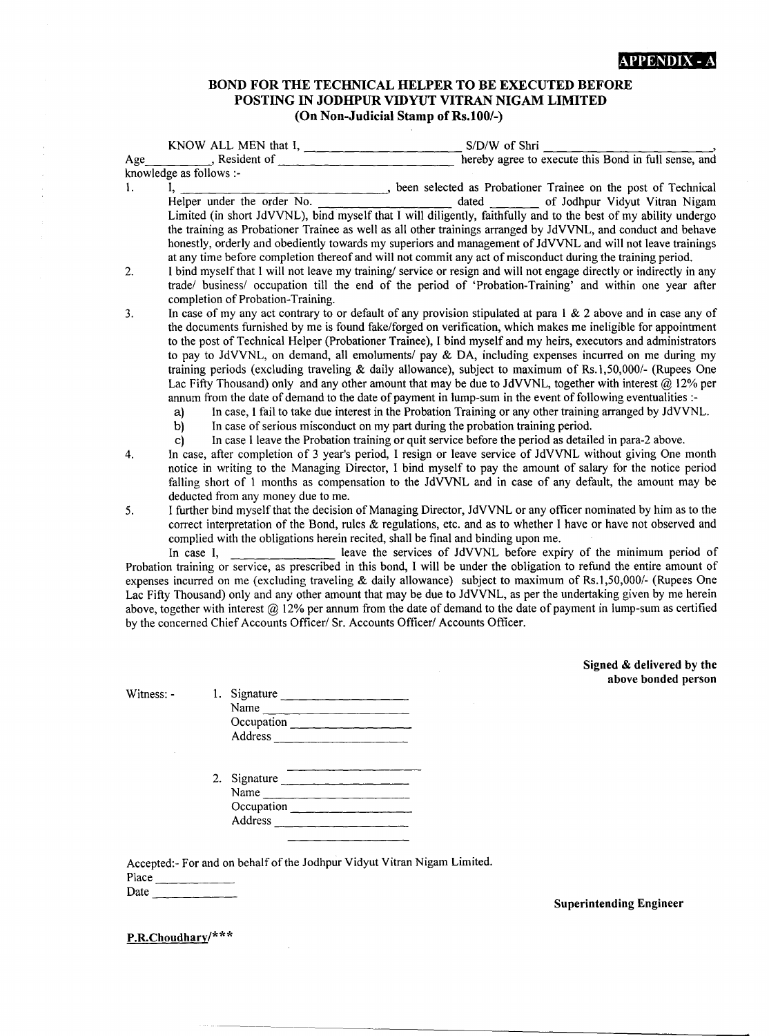### BOND FOR THE TECHNICAL HELPER TO BE EXECUTED BEFORE POSTING IN JODHPUR VIDYUT VITRAN NIGAM LIMITED (On Non-Judicial Stamp of Rs, 100/-)

|          | KNOW ALL MEN that I, $\frac{1}{2}$ and $\frac{1}{2}$ and $\frac{1}{2}$ and $\frac{1}{2}$ and $\frac{1}{2}$ and $\frac{1}{2}$ and $\frac{1}{2}$ and $\frac{1}{2}$ and $\frac{1}{2}$ and $\frac{1}{2}$ and $\frac{1}{2}$ and $\frac{1}{2}$ and $\frac{1}{2}$ and $\frac{1}{2}$ and $\frac{$ | S/D/W of Shri                                                                                                                                                                                                                                                                                                                                                                                                                                                                                                                                                                                                                                                                                                                                                                                                                                                                                                                                                                                                                                                                                                                            |
|----------|-------------------------------------------------------------------------------------------------------------------------------------------------------------------------------------------------------------------------------------------------------------------------------------------|------------------------------------------------------------------------------------------------------------------------------------------------------------------------------------------------------------------------------------------------------------------------------------------------------------------------------------------------------------------------------------------------------------------------------------------------------------------------------------------------------------------------------------------------------------------------------------------------------------------------------------------------------------------------------------------------------------------------------------------------------------------------------------------------------------------------------------------------------------------------------------------------------------------------------------------------------------------------------------------------------------------------------------------------------------------------------------------------------------------------------------------|
| Age      | $\blacksquare$ , Resident of                                                                                                                                                                                                                                                              | hereby agree to execute this Bond in full sense, and                                                                                                                                                                                                                                                                                                                                                                                                                                                                                                                                                                                                                                                                                                                                                                                                                                                                                                                                                                                                                                                                                     |
|          | knowledge as follows :-                                                                                                                                                                                                                                                                   |                                                                                                                                                                                                                                                                                                                                                                                                                                                                                                                                                                                                                                                                                                                                                                                                                                                                                                                                                                                                                                                                                                                                          |
| 1.       | I,<br>Helper under the order No.                                                                                                                                                                                                                                                          | been selected as Probationer Trainee on the post of Technical<br>dated ____ of Jodhpur Vidyut Vitran Nigam<br>Limited (in short JdVVNL), bind myself that I will diligently, faithfully and to the best of my ability undergo<br>the training as Probationer Trainee as well as all other trainings arranged by JdVVNL, and conduct and behave<br>honestly, orderly and obediently towards my superiors and management of JdVVNL and will not leave trainings<br>at any time before completion thereof and will not commit any act of misconduct during the training period.                                                                                                                                                                                                                                                                                                                                                                                                                                                                                                                                                             |
| 2.       | completion of Probation-Training.                                                                                                                                                                                                                                                         | I bind myself that I will not leave my training/ service or resign and will not engage directly or indirectly in any<br>trade/ business/ occupation till the end of the period of 'Probation-Training' and within one year after                                                                                                                                                                                                                                                                                                                                                                                                                                                                                                                                                                                                                                                                                                                                                                                                                                                                                                         |
| 3.<br>4. | a)<br>In case of serious misconduct on my part during the probation training period.<br>b)<br>c)                                                                                                                                                                                          | In case of my any act contrary to or default of any provision stipulated at para $1 \& 2$ above and in case any of<br>the documents furnished by me is found fake/forged on verification, which makes me ineligible for appointment<br>to the post of Technical Helper (Probationer Trainee), I bind myself and my heirs, executors and administrators<br>to pay to JdVVNL, on demand, all emoluments/ pay & DA, including expenses incurred on me during my<br>training periods (excluding traveling & daily allowance), subject to maximum of Rs.1,50,000/- (Rupees One<br>Lac Fifty Thousand) only and any other amount that may be due to JdVVNL, together with interest @ 12% per<br>annum from the date of demand to the date of payment in lump-sum in the event of following eventualities :-<br>In case, I fail to take due interest in the Probation Training or any other training arranged by JdVVNL.<br>In case I leave the Probation training or quit service before the period as detailed in para-2 above.<br>In case, after completion of 3 year's period, I resign or leave service of JdVVNL without giving One month |
|          | deducted from any money due to me.                                                                                                                                                                                                                                                        | notice in writing to the Managing Director, I bind myself to pay the amount of salary for the notice period<br>falling short of 1 months as compensation to the JdVVNL and in case of any default, the amount may be                                                                                                                                                                                                                                                                                                                                                                                                                                                                                                                                                                                                                                                                                                                                                                                                                                                                                                                     |
| 5.       | complied with the obligations herein recited, shall be final and binding upon me.<br>In case I,                                                                                                                                                                                           | I further bind myself that the decision of Managing Director, JdVVNL or any officer nominated by him as to the<br>correct interpretation of the Bond, rules & regulations, etc. and as to whether I have or have not observed and<br>leave the services of JdVVNL before expiry of the minimum period of                                                                                                                                                                                                                                                                                                                                                                                                                                                                                                                                                                                                                                                                                                                                                                                                                                 |
|          |                                                                                                                                                                                                                                                                                           | Probation training or service, as prescribed in this bond, I will be under the obligation to refund the entire amount of                                                                                                                                                                                                                                                                                                                                                                                                                                                                                                                                                                                                                                                                                                                                                                                                                                                                                                                                                                                                                 |
|          |                                                                                                                                                                                                                                                                                           | expenses incurred on me (excluding traveling & daily allowance) subject to maximum of Rs.1,50,000/- (Rupees One<br>Lac Fifty Thousand) only and any other amount that may be due to JdVVNL, as per the undertaking given by me herein<br>above, together with interest $(2)$ 12% per annum from the date of demand to the date of payment in lump-sum as certified                                                                                                                                                                                                                                                                                                                                                                                                                                                                                                                                                                                                                                                                                                                                                                       |
|          | by the concerned Chief Accounts Officer/ Sr. Accounts Officer/ Accounts Officer.                                                                                                                                                                                                          |                                                                                                                                                                                                                                                                                                                                                                                                                                                                                                                                                                                                                                                                                                                                                                                                                                                                                                                                                                                                                                                                                                                                          |

Signed & delivered by the above bonded person

Witness: -

|    | Signature                                                           |
|----|---------------------------------------------------------------------|
|    | Name                                                                |
|    | Occupation                                                          |
|    | Address                                                             |
| 2. | Signature<br>Name<br>Occupation $\overline{\phantom{a}}$<br>Address |

Accepted:- For and on behalf of the Jodhpur Vidyut Vitran Nigam Limited. Place \_  $Date$ 

 $\overline{ }$ 

Superintending Engineer

P.R.Choudhary/\* \* \*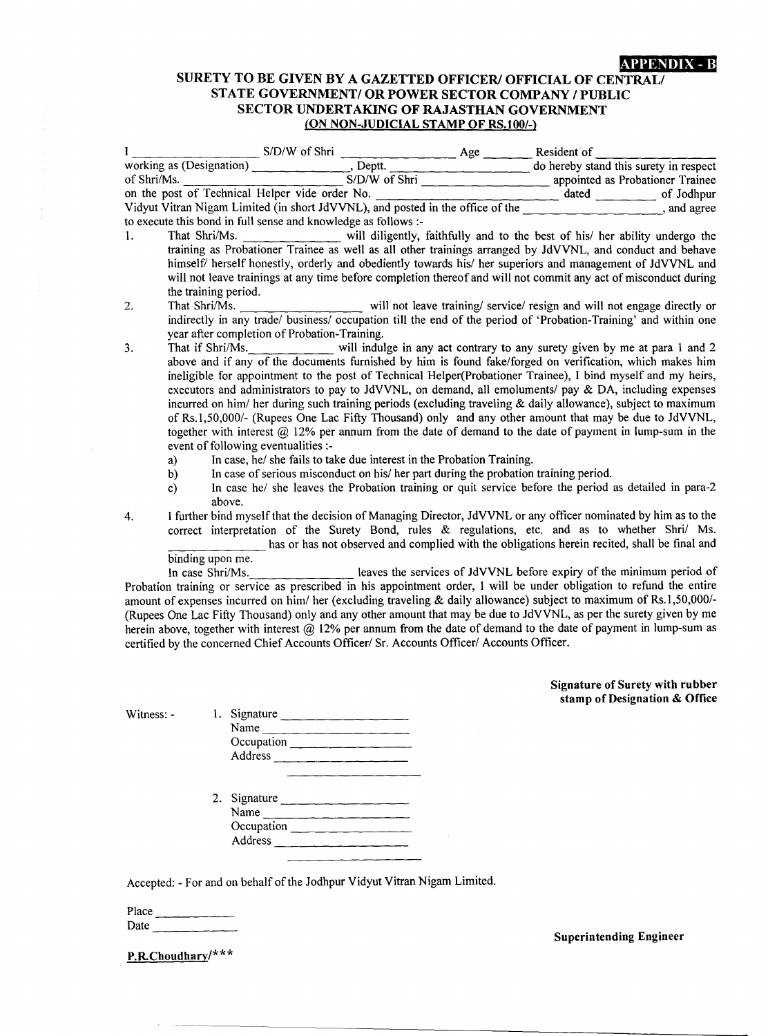APPENDIX-B

### SURETY TO BE GIVEN BY A GAZETTED OFFICER/ OFFICIAL OF CENTRAL/ STATE GOVERNMENTI OR POWER SECTOR COMPANY *I* PUBLIC SECTOR UNDERTAKING OF RAJASTHAN GOVERNMENT (ON NON-JUDICIAL STAMP OF RS.I00/-)

|                                           | S/D/W of Shri Resident of Resident of Resident of Resident of Shri/Ms.<br>S/D/W of Shri Resident of Shri/Ms.<br>S/D/W of Shri Resident of Shri/Ms.                                                                                                                                                                                                                                                                                                                                                                                                                                                                                                                                                                                                                                         |                                                                         |  |
|-------------------------------------------|--------------------------------------------------------------------------------------------------------------------------------------------------------------------------------------------------------------------------------------------------------------------------------------------------------------------------------------------------------------------------------------------------------------------------------------------------------------------------------------------------------------------------------------------------------------------------------------------------------------------------------------------------------------------------------------------------------------------------------------------------------------------------------------------|-------------------------------------------------------------------------|--|
|                                           |                                                                                                                                                                                                                                                                                                                                                                                                                                                                                                                                                                                                                                                                                                                                                                                            |                                                                         |  |
|                                           | on the post of Technical Helper vide order No. dated of Jodhpur Vidyut Vitran Nigam Limited (in short JdVVNL), and posted in the office of the stated and agree                                                                                                                                                                                                                                                                                                                                                                                                                                                                                                                                                                                                                            |                                                                         |  |
|                                           |                                                                                                                                                                                                                                                                                                                                                                                                                                                                                                                                                                                                                                                                                                                                                                                            |                                                                         |  |
|                                           | to execute this bond in full sense and knowledge as follows :-                                                                                                                                                                                                                                                                                                                                                                                                                                                                                                                                                                                                                                                                                                                             |                                                                         |  |
| 1.<br>the training period.                | That Shri/Ms. ______________ will diligently, faithfully and to the best of his/ her ability undergo the<br>training as Probationer Trainee as well as all other trainings arranged by JdVVNL, and conduct and behave<br>himself/ herself honestly, orderly and obediently towards his/ her superiors and management of JdVVNL and<br>will not leave trainings at any time before completion thereof and will not commit any act of misconduct during                                                                                                                                                                                                                                                                                                                                      |                                                                         |  |
| 2.                                        | That Shri/Ms. _______________________ will not leave training/ service/ resign and will not engage directly or<br>indirectly in any trade/ business/ occupation till the end of the period of 'Probation-Training' and within one<br>year after completion of Probation-Training.                                                                                                                                                                                                                                                                                                                                                                                                                                                                                                          |                                                                         |  |
| 3.<br>event of following eventualities :- | That if Shri/Ms. ___________ will indulge in any act contrary to any surety given by me at para 1 and 2<br>above and if any of the documents furnished by him is found fake/forged on verification, which makes him<br>ineligible for appointment to the post of Technical Helper(Probationer Trainee), I bind myself and my heirs,<br>executors and administrators to pay to JdVVNL, on demand, all emoluments/ pay & DA, including expenses<br>incurred on him/ her during such training periods (excluding traveling $\&$ daily allowance), subject to maximum<br>of Rs.1,50,000/- (Rupees One Lac Fifty Thousand) only and any other amount that may be due to JdVVNL,<br>together with interest $(2)$ 12% per annum from the date of demand to the date of payment in lump-sum in the |                                                                         |  |
| a)                                        | In case, he/ she fails to take due interest in the Probation Training.                                                                                                                                                                                                                                                                                                                                                                                                                                                                                                                                                                                                                                                                                                                     |                                                                         |  |
| b)                                        | In case of serious misconduct on his/ her part during the probation training period.                                                                                                                                                                                                                                                                                                                                                                                                                                                                                                                                                                                                                                                                                                       |                                                                         |  |
| c)<br>above.                              | In case he/ she leaves the Probation training or quit service before the period as detailed in para-2                                                                                                                                                                                                                                                                                                                                                                                                                                                                                                                                                                                                                                                                                      |                                                                         |  |
| 4.                                        | I further bind myself that the decision of Managing Director, JdVVNL or any officer nominated by him as to the<br>correct interpretation of the Surety Bond, rules & regulations, etc. and as to whether Shri/ Ms.<br>has or has not observed and complied with the obligations herein recited, shall be final and                                                                                                                                                                                                                                                                                                                                                                                                                                                                         |                                                                         |  |
| binding upon me.                          |                                                                                                                                                                                                                                                                                                                                                                                                                                                                                                                                                                                                                                                                                                                                                                                            |                                                                         |  |
|                                           | binding upon me.<br>In case Shri/Ms.<br>In case Shri/Ms.<br>In case Shri/Ms.<br>In case Shri/Ms.<br>In case Shri/Ms.<br>amount of expenses incurred on him/ her (excluding traveling & daily allowance) subject to maximum of Rs.1,50,000/-<br>(Rupees One Lac Fifty Thousand) only and any other amount that may be due to JdVVNL, as per the surety given by me<br>herein above, together with interest $@$ 12% per annum from the date of demand to the date of payment in lump-sum as<br>certified by the concerned Chief Accounts Officer/ Sr. Accounts Officer/ Accounts Officer.                                                                                                                                                                                                    |                                                                         |  |
|                                           |                                                                                                                                                                                                                                                                                                                                                                                                                                                                                                                                                                                                                                                                                                                                                                                            | <b>Signature of Surety with rubber</b><br>stamp of Designation & Office |  |
| Witness: -                                | 1. Signature                                                                                                                                                                                                                                                                                                                                                                                                                                                                                                                                                                                                                                                                                                                                                                               |                                                                         |  |
|                                           | Name                                                                                                                                                                                                                                                                                                                                                                                                                                                                                                                                                                                                                                                                                                                                                                                       |                                                                         |  |
|                                           | Occupation                                                                                                                                                                                                                                                                                                                                                                                                                                                                                                                                                                                                                                                                                                                                                                                 |                                                                         |  |
|                                           |                                                                                                                                                                                                                                                                                                                                                                                                                                                                                                                                                                                                                                                                                                                                                                                            |                                                                         |  |
|                                           |                                                                                                                                                                                                                                                                                                                                                                                                                                                                                                                                                                                                                                                                                                                                                                                            |                                                                         |  |
|                                           | 2. Signature<br>Name                                                                                                                                                                                                                                                                                                                                                                                                                                                                                                                                                                                                                                                                                                                                                                       |                                                                         |  |

Accepted: - For and on behalf of the Jodhpur Vidyut Vitran Nigam Limited.

Occupation and the control of the control of the control of the control of the control of the control of the control of the control of the control of the control of the control of the control of the control of the control Address \_

Place \_ Date

P.RChoudhary/\*\*\*

### Superintending Engineer